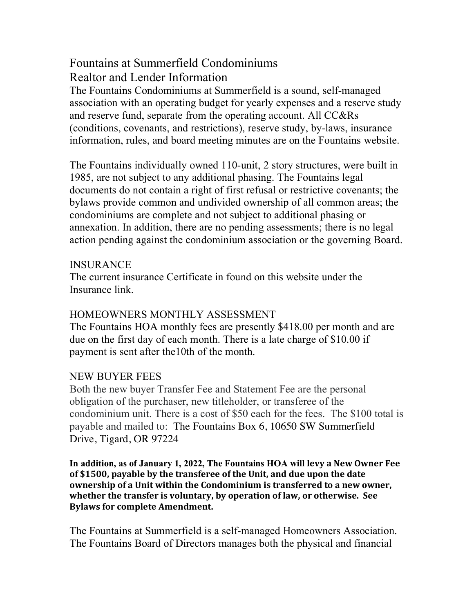## Fountains at Summerfield Condominiums Realtor and Lender Information

The Fountains Condominiums at Summerfield is a sound, self-managed association with an operating budget for yearly expenses and a reserve study and reserve fund, separate from the operating account. All CC&Rs (conditions, covenants, and restrictions), reserve study, by-laws, insurance information, rules, and board meeting minutes are on the Fountains website.

The Fountains individually owned 110-unit, 2 story structures, were built in 1985, are not subject to any additional phasing. The Fountains legal documents do not contain a right of first refusal or restrictive covenants; the bylaws provide common and undivided ownership of all common areas; the condominiums are complete and not subject to additional phasing or annexation. In addition, there are no pending assessments; there is no legal action pending against the condominium association or the governing Board.

## INSURANCE

The current insurance Certificate in found on this website under the Insurance link.

## HOMEOWNERS MONTHLY ASSESSMENT

The Fountains HOA monthly fees are presently \$418.00 per month and are due on the first day of each month. There is a late charge of \$10.00 if payment is sent after the10th of the month.

## NEW BUYER FEES

Both the new buyer Transfer Fee and Statement Fee are the personal obligation of the purchaser, new titleholder, or transferee of the condominium unit. There is a cost of \$50 each for the fees. The \$100 total is payable and mailed to: The Fountains Box 6, 10650 SW Summerfield Drive, Tigard, OR 97224

**In addition, as of January 1, 2022, The Fountains HOA will levy a New Owner Fee**  of \$1500, payable by the transferee of the Unit, and due upon the date **ownership of a Unit within the Condominium is transferred to a new owner,** whether the transfer is voluntary, by operation of law, or otherwise. See **Bylaws for complete Amendment.** 

The Fountains at Summerfield is a self-managed Homeowners Association. The Fountains Board of Directors manages both the physical and financial